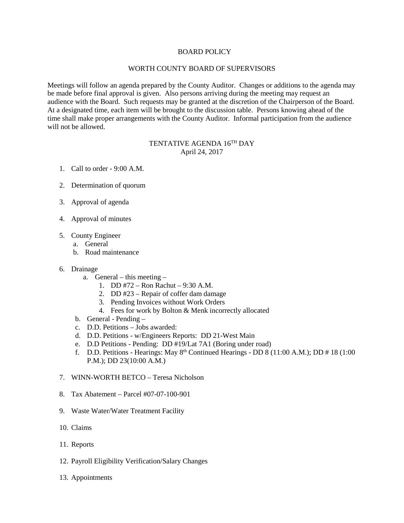## BOARD POLICY

## WORTH COUNTY BOARD OF SUPERVISORS

Meetings will follow an agenda prepared by the County Auditor. Changes or additions to the agenda may be made before final approval is given. Also persons arriving during the meeting may request an audience with the Board. Such requests may be granted at the discretion of the Chairperson of the Board. At a designated time, each item will be brought to the discussion table. Persons knowing ahead of the time shall make proper arrangements with the County Auditor. Informal participation from the audience will not be allowed.

## TENTATIVE AGENDA 16TH DAY April 24, 2017

- 1. Call to order 9:00 A.M.
- 2. Determination of quorum
- 3. Approval of agenda
- 4. Approval of minutes
- 5. County Engineer
	- a. General
	- b. Road maintenance
- 6. Drainage
	- a. General this meeting
		- 1. DD #72 Ron Rachut 9:30 A.M.
		- 2. DD #23 Repair of coffer dam damage
		- 3. Pending Invoices without Work Orders
		- 4. Fees for work by Bolton & Menk incorrectly allocated
	- b. General Pending –
	- c. D.D. Petitions Jobs awarded:
	- d. D.D. Petitions w/Engineers Reports: DD 21-West Main
	- e. D.D Petitions Pending: DD #19/Lat 7A1 (Boring under road)
	- f. D.D. Petitions Hearings: May  $8<sup>th</sup>$  Continued Hearings DD 8 (11:00 A.M.); DD # 18 (1:00 P.M.); DD 23(10:00 A.M.)
- 7. WINN-WORTH BETCO Teresa Nicholson
- 8. Tax Abatement Parcel #07-07-100-901
- 9. Waste Water/Water Treatment Facility
- 10. Claims
- 11. Reports
- 12. Payroll Eligibility Verification/Salary Changes
- 13. Appointments